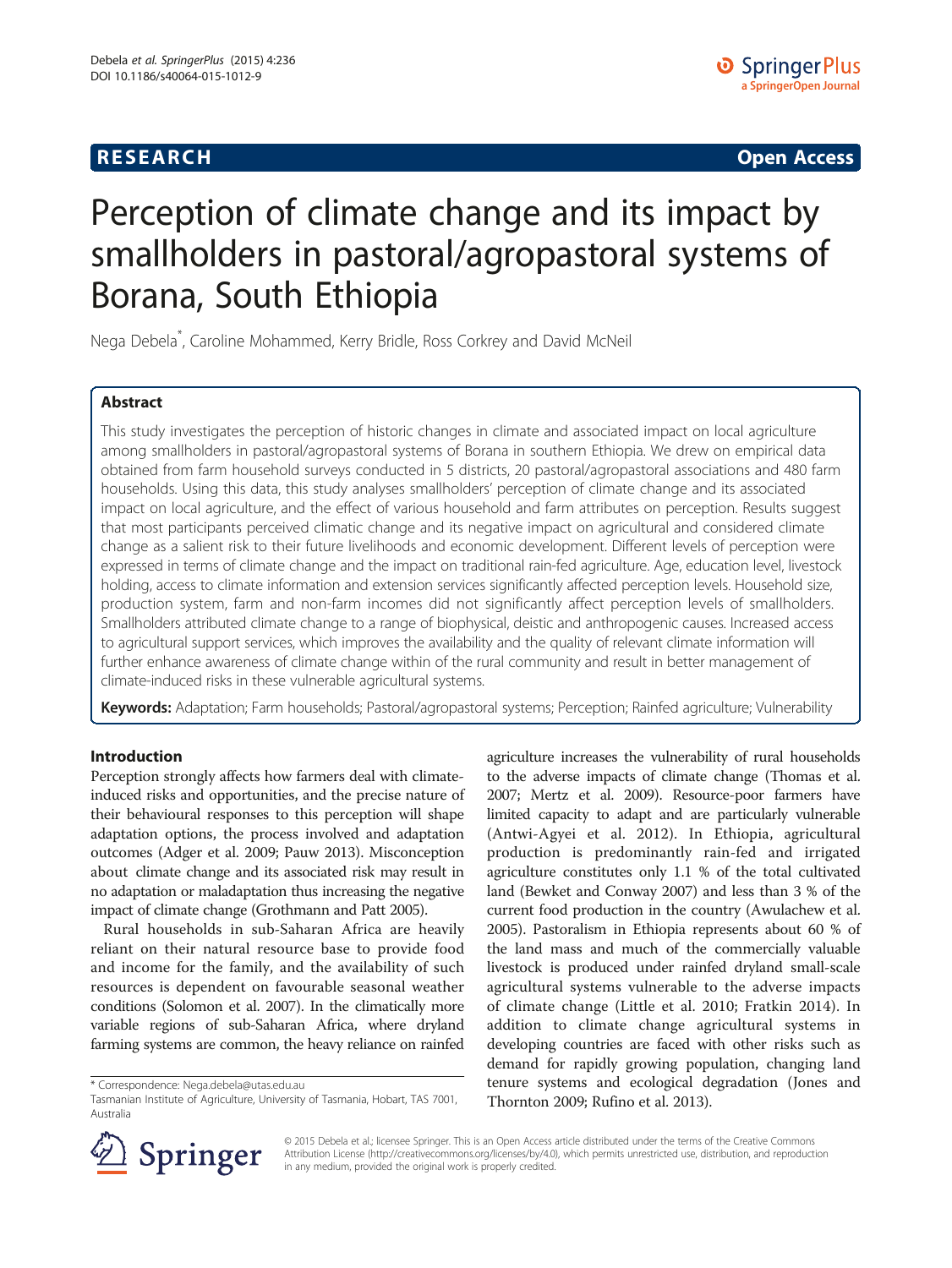# **RESEARCH CHINESE ARCH CHINESE ARCH CHINESE ARCH <b>CHINESE ARCH**

# Perception of climate change and its impact by smallholders in pastoral/agropastoral systems of Borana, South Ethiopia

Nega Debela\* , Caroline Mohammed, Kerry Bridle, Ross Corkrey and David McNeil

## Abstract

This study investigates the perception of historic changes in climate and associated impact on local agriculture among smallholders in pastoral/agropastoral systems of Borana in southern Ethiopia. We drew on empirical data obtained from farm household surveys conducted in 5 districts, 20 pastoral/agropastoral associations and 480 farm households. Using this data, this study analyses smallholders' perception of climate change and its associated impact on local agriculture, and the effect of various household and farm attributes on perception. Results suggest that most participants perceived climatic change and its negative impact on agricultural and considered climate change as a salient risk to their future livelihoods and economic development. Different levels of perception were expressed in terms of climate change and the impact on traditional rain-fed agriculture. Age, education level, livestock holding, access to climate information and extension services significantly affected perception levels. Household size, production system, farm and non-farm incomes did not significantly affect perception levels of smallholders. Smallholders attributed climate change to a range of biophysical, deistic and anthropogenic causes. Increased access to agricultural support services, which improves the availability and the quality of relevant climate information will further enhance awareness of climate change within of the rural community and result in better management of climate-induced risks in these vulnerable agricultural systems.

Keywords: Adaptation; Farm households; Pastoral/agropastoral systems; Perception; Rainfed agriculture; Vulnerability

## Introduction

Perception strongly affects how farmers deal with climateinduced risks and opportunities, and the precise nature of their behavioural responses to this perception will shape adaptation options, the process involved and adaptation outcomes (Adger et al. [2009](#page-10-0); Pauw [2013](#page-10-0)). Misconception about climate change and its associated risk may result in no adaptation or maladaptation thus increasing the negative impact of climate change (Grothmann and Patt [2005\)](#page-10-0).

Rural households in sub-Saharan Africa are heavily reliant on their natural resource base to provide food and income for the family, and the availability of such resources is dependent on favourable seasonal weather conditions (Solomon et al. [2007](#page-10-0)). In the climatically more variable regions of sub-Saharan Africa, where dryland farming systems are common, the heavy reliance on rainfed

\* Correspondence: [Nega.debela@utas.edu.au](mailto:Nega.debela@utas.edu.au)

agriculture increases the vulnerability of rural households to the adverse impacts of climate change (Thomas et al. [2007;](#page-11-0) Mertz et al. [2009](#page-10-0)). Resource-poor farmers have limited capacity to adapt and are particularly vulnerable (Antwi-Agyei et al. [2012\)](#page-10-0). In Ethiopia, agricultural production is predominantly rain-fed and irrigated agriculture constitutes only 1.1 % of the total cultivated land (Bewket and Conway [2007\)](#page-10-0) and less than 3 % of the current food production in the country (Awulachew et al. [2005\)](#page-10-0). Pastoralism in Ethiopia represents about 60 % of the land mass and much of the commercially valuable livestock is produced under rainfed dryland small-scale agricultural systems vulnerable to the adverse impacts of climate change (Little et al. [2010;](#page-10-0) Fratkin [2014](#page-10-0)). In addition to climate change agricultural systems in developing countries are faced with other risks such as demand for rapidly growing population, changing land tenure systems and ecological degradation (Jones and Thornton [2009;](#page-10-0) Rufino et al. [2013\)](#page-10-0).



© 2015 Debela et al.; licensee Springer. This is an Open Access article distributed under the terms of the Creative Commons Attribution License [\(http://creativecommons.org/licenses/by/4.0\)](http://creativecommons.org/licenses/by/4.0), which permits unrestricted use, distribution, and reproduction in any medium, provided the original work is properly credited.

Tasmanian Institute of Agriculture, University of Tasmania, Hobart, TAS 7001, Australia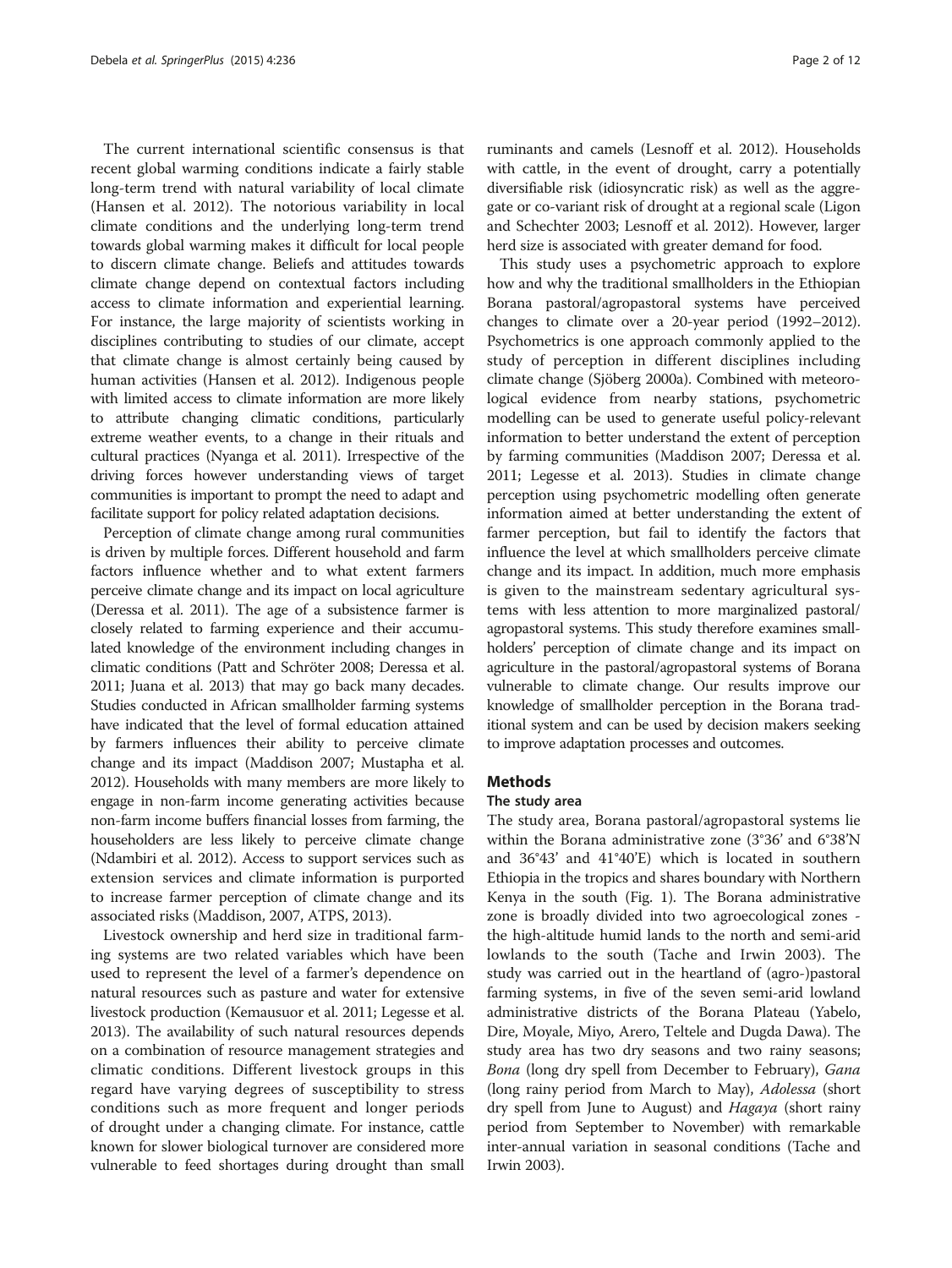The current international scientific consensus is that recent global warming conditions indicate a fairly stable long-term trend with natural variability of local climate (Hansen et al. [2012\)](#page-10-0). The notorious variability in local climate conditions and the underlying long-term trend towards global warming makes it difficult for local people to discern climate change. Beliefs and attitudes towards climate change depend on contextual factors including access to climate information and experiential learning. For instance, the large majority of scientists working in disciplines contributing to studies of our climate, accept that climate change is almost certainly being caused by human activities (Hansen et al. [2012](#page-10-0)). Indigenous people with limited access to climate information are more likely to attribute changing climatic conditions, particularly extreme weather events, to a change in their rituals and cultural practices (Nyanga et al. [2011](#page-10-0)). Irrespective of the driving forces however understanding views of target communities is important to prompt the need to adapt and facilitate support for policy related adaptation decisions.

Perception of climate change among rural communities is driven by multiple forces. Different household and farm factors influence whether and to what extent farmers perceive climate change and its impact on local agriculture (Deressa et al. [2011\)](#page-10-0). The age of a subsistence farmer is closely related to farming experience and their accumulated knowledge of the environment including changes in climatic conditions (Patt and Schröter [2008;](#page-10-0) Deressa et al. [2011;](#page-10-0) Juana et al. [2013\)](#page-10-0) that may go back many decades. Studies conducted in African smallholder farming systems have indicated that the level of formal education attained by farmers influences their ability to perceive climate change and its impact (Maddison [2007](#page-10-0); Mustapha et al. [2012\)](#page-10-0). Households with many members are more likely to engage in non-farm income generating activities because non-farm income buffers financial losses from farming, the householders are less likely to perceive climate change (Ndambiri et al. [2012\)](#page-10-0). Access to support services such as extension services and climate information is purported to increase farmer perception of climate change and its associated risks (Maddison, [2007,](#page-10-0) ATPS, [2013\)](#page-10-0).

Livestock ownership and herd size in traditional farming systems are two related variables which have been used to represent the level of a farmer's dependence on natural resources such as pasture and water for extensive livestock production (Kemausuor et al. [2011;](#page-10-0) Legesse et al. [2013\)](#page-10-0). The availability of such natural resources depends on a combination of resource management strategies and climatic conditions. Different livestock groups in this regard have varying degrees of susceptibility to stress conditions such as more frequent and longer periods of drought under a changing climate. For instance, cattle known for slower biological turnover are considered more vulnerable to feed shortages during drought than small

ruminants and camels (Lesnoff et al. [2012\)](#page-10-0). Households with cattle, in the event of drought, carry a potentially diversifiable risk (idiosyncratic risk) as well as the aggregate or co-variant risk of drought at a regional scale (Ligon and Schechter [2003](#page-10-0); Lesnoff et al. [2012](#page-10-0)). However, larger herd size is associated with greater demand for food.

This study uses a psychometric approach to explore how and why the traditional smallholders in the Ethiopian Borana pastoral/agropastoral systems have perceived changes to climate over a 20-year period (1992–2012). Psychometrics is one approach commonly applied to the study of perception in different disciplines including climate change (Sjöberg [2000a\)](#page-10-0). Combined with meteorological evidence from nearby stations, psychometric modelling can be used to generate useful policy-relevant information to better understand the extent of perception by farming communities (Maddison [2007;](#page-10-0) Deressa et al. [2011;](#page-10-0) Legesse et al. [2013\)](#page-10-0). Studies in climate change perception using psychometric modelling often generate information aimed at better understanding the extent of farmer perception, but fail to identify the factors that influence the level at which smallholders perceive climate change and its impact. In addition, much more emphasis is given to the mainstream sedentary agricultural systems with less attention to more marginalized pastoral/ agropastoral systems. This study therefore examines smallholders' perception of climate change and its impact on agriculture in the pastoral/agropastoral systems of Borana vulnerable to climate change. Our results improve our knowledge of smallholder perception in the Borana traditional system and can be used by decision makers seeking to improve adaptation processes and outcomes.

#### **Methods**

#### The study area

The study area, Borana pastoral/agropastoral systems lie within the Borana administrative zone (3°36' and 6°38'N and 36°43' and 41°40'E) which is located in southern Ethiopia in the tropics and shares boundary with Northern Kenya in the south (Fig. [1](#page-2-0)). The Borana administrative zone is broadly divided into two agroecological zones the high-altitude humid lands to the north and semi-arid lowlands to the south (Tache and Irwin [2003](#page-10-0)). The study was carried out in the heartland of (agro-)pastoral farming systems, in five of the seven semi-arid lowland administrative districts of the Borana Plateau (Yabelo, Dire, Moyale, Miyo, Arero, Teltele and Dugda Dawa). The study area has two dry seasons and two rainy seasons; Bona (long dry spell from December to February), Gana (long rainy period from March to May), Adolessa (short dry spell from June to August) and Hagaya (short rainy period from September to November) with remarkable inter-annual variation in seasonal conditions (Tache and Irwin [2003\)](#page-10-0).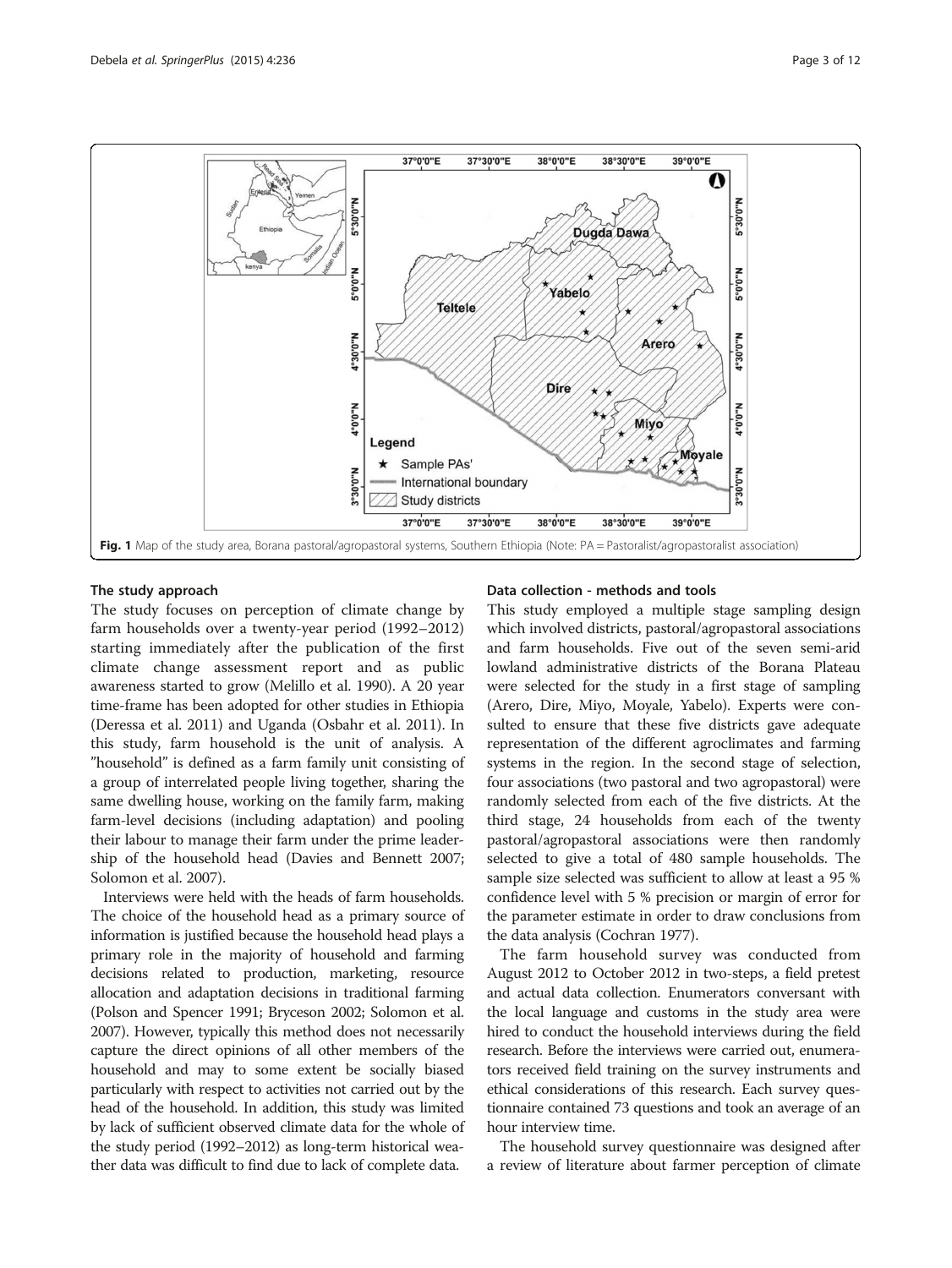

<span id="page-2-0"></span>

## The study approach

The study focuses on perception of climate change by farm households over a twenty-year period (1992–2012) starting immediately after the publication of the first climate change assessment report and as public awareness started to grow (Melillo et al. [1990](#page-10-0)). A 20 year time-frame has been adopted for other studies in Ethiopia (Deressa et al. [2011](#page-10-0)) and Uganda (Osbahr et al. [2011](#page-10-0)). In this study, farm household is the unit of analysis. A "household" is defined as a farm family unit consisting of a group of interrelated people living together, sharing the same dwelling house, working on the family farm, making farm-level decisions (including adaptation) and pooling their labour to manage their farm under the prime leadership of the household head (Davies and Bennett [2007](#page-10-0); Solomon et al. [2007](#page-10-0)).

Interviews were held with the heads of farm households. The choice of the household head as a primary source of information is justified because the household head plays a primary role in the majority of household and farming decisions related to production, marketing, resource allocation and adaptation decisions in traditional farming (Polson and Spencer [1991](#page-10-0); Bryceson [2002](#page-10-0); Solomon et al. [2007\)](#page-10-0). However, typically this method does not necessarily capture the direct opinions of all other members of the household and may to some extent be socially biased particularly with respect to activities not carried out by the head of the household. In addition, this study was limited by lack of sufficient observed climate data for the whole of the study period (1992–2012) as long-term historical weather data was difficult to find due to lack of complete data.

## Data collection - methods and tools

This study employed a multiple stage sampling design which involved districts, pastoral/agropastoral associations and farm households. Five out of the seven semi-arid lowland administrative districts of the Borana Plateau were selected for the study in a first stage of sampling (Arero, Dire, Miyo, Moyale, Yabelo). Experts were consulted to ensure that these five districts gave adequate representation of the different agroclimates and farming systems in the region. In the second stage of selection, four associations (two pastoral and two agropastoral) were randomly selected from each of the five districts. At the third stage, 24 households from each of the twenty pastoral/agropastoral associations were then randomly selected to give a total of 480 sample households. The sample size selected was sufficient to allow at least a 95 % confidence level with 5 % precision or margin of error for the parameter estimate in order to draw conclusions from the data analysis (Cochran [1977](#page-10-0)).

The farm household survey was conducted from August 2012 to October 2012 in two-steps, a field pretest and actual data collection. Enumerators conversant with the local language and customs in the study area were hired to conduct the household interviews during the field research. Before the interviews were carried out, enumerators received field training on the survey instruments and ethical considerations of this research. Each survey questionnaire contained 73 questions and took an average of an hour interview time.

The household survey questionnaire was designed after a review of literature about farmer perception of climate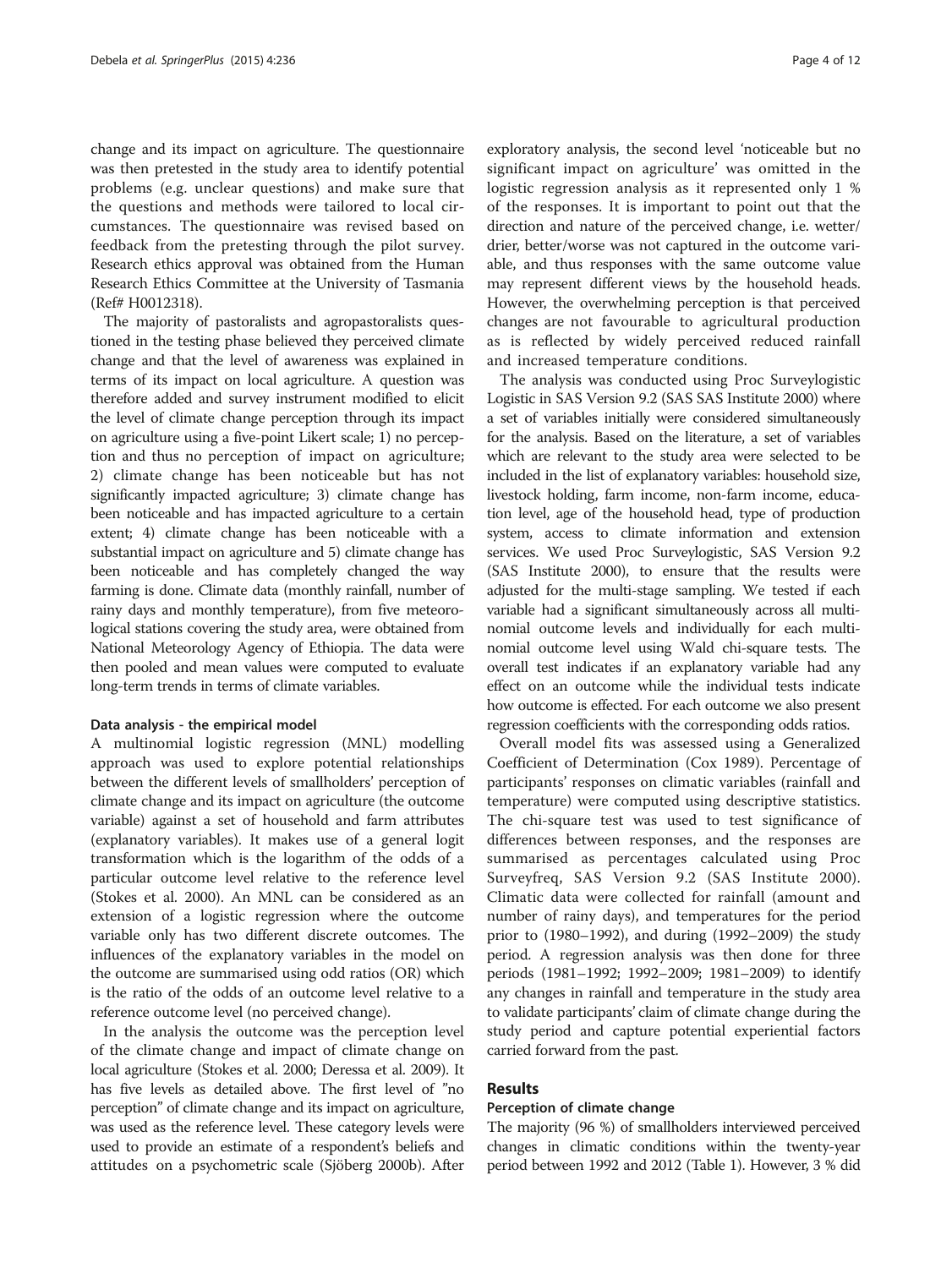change and its impact on agriculture. The questionnaire was then pretested in the study area to identify potential problems (e.g. unclear questions) and make sure that the questions and methods were tailored to local circumstances. The questionnaire was revised based on feedback from the pretesting through the pilot survey. Research ethics approval was obtained from the Human Research Ethics Committee at the University of Tasmania (Ref# H0012318).

The majority of pastoralists and agropastoralists questioned in the testing phase believed they perceived climate change and that the level of awareness was explained in terms of its impact on local agriculture. A question was therefore added and survey instrument modified to elicit the level of climate change perception through its impact on agriculture using a five-point Likert scale; 1) no perception and thus no perception of impact on agriculture; 2) climate change has been noticeable but has not significantly impacted agriculture; 3) climate change has been noticeable and has impacted agriculture to a certain extent; 4) climate change has been noticeable with a substantial impact on agriculture and 5) climate change has been noticeable and has completely changed the way farming is done. Climate data (monthly rainfall, number of rainy days and monthly temperature), from five meteorological stations covering the study area, were obtained from National Meteorology Agency of Ethiopia. The data were then pooled and mean values were computed to evaluate long-term trends in terms of climate variables.

#### Data analysis - the empirical model

A multinomial logistic regression (MNL) modelling approach was used to explore potential relationships between the different levels of smallholders' perception of climate change and its impact on agriculture (the outcome variable) against a set of household and farm attributes (explanatory variables). It makes use of a general logit transformation which is the logarithm of the odds of a particular outcome level relative to the reference level (Stokes et al. [2000\)](#page-10-0). An MNL can be considered as an extension of a logistic regression where the outcome variable only has two different discrete outcomes. The influences of the explanatory variables in the model on the outcome are summarised using odd ratios (OR) which is the ratio of the odds of an outcome level relative to a reference outcome level (no perceived change).

In the analysis the outcome was the perception level of the climate change and impact of climate change on local agriculture (Stokes et al. [2000;](#page-10-0) Deressa et al. [2009](#page-10-0)). It has five levels as detailed above. The first level of "no perception" of climate change and its impact on agriculture, was used as the reference level. These category levels were used to provide an estimate of a respondent's beliefs and attitudes on a psychometric scale (Sjöberg [2000b](#page-10-0)). After

exploratory analysis, the second level 'noticeable but no significant impact on agriculture' was omitted in the logistic regression analysis as it represented only 1 % of the responses. It is important to point out that the direction and nature of the perceived change, i.e. wetter/ drier, better/worse was not captured in the outcome variable, and thus responses with the same outcome value may represent different views by the household heads. However, the overwhelming perception is that perceived changes are not favourable to agricultural production as is reflected by widely perceived reduced rainfall and increased temperature conditions.

The analysis was conducted using Proc Surveylogistic Logistic in SAS Version 9.2 (SAS SAS Institute [2000](#page-10-0)) where a set of variables initially were considered simultaneously for the analysis. Based on the literature, a set of variables which are relevant to the study area were selected to be included in the list of explanatory variables: household size, livestock holding, farm income, non-farm income, education level, age of the household head, type of production system, access to climate information and extension services. We used Proc Surveylogistic, SAS Version 9.2 (SAS Institute [2000\)](#page-10-0), to ensure that the results were adjusted for the multi-stage sampling. We tested if each variable had a significant simultaneously across all multinomial outcome levels and individually for each multinomial outcome level using Wald chi-square tests. The overall test indicates if an explanatory variable had any effect on an outcome while the individual tests indicate how outcome is effected. For each outcome we also present regression coefficients with the corresponding odds ratios.

Overall model fits was assessed using a Generalized Coefficient of Determination (Cox [1989\)](#page-10-0). Percentage of participants' responses on climatic variables (rainfall and temperature) were computed using descriptive statistics. The chi-square test was used to test significance of differences between responses, and the responses are summarised as percentages calculated using Proc Surveyfreq, SAS Version 9.2 (SAS Institute [2000](#page-10-0)). Climatic data were collected for rainfall (amount and number of rainy days), and temperatures for the period prior to (1980–1992), and during (1992–2009) the study period. A regression analysis was then done for three periods (1981–1992; 1992–2009; 1981–2009) to identify any changes in rainfall and temperature in the study area to validate participants' claim of climate change during the study period and capture potential experiential factors carried forward from the past.

## Results

#### Perception of climate change

The majority (96 %) of smallholders interviewed perceived changes in climatic conditions within the twenty-year period between 1992 and 2012 (Table [1](#page-4-0)). However, 3 % did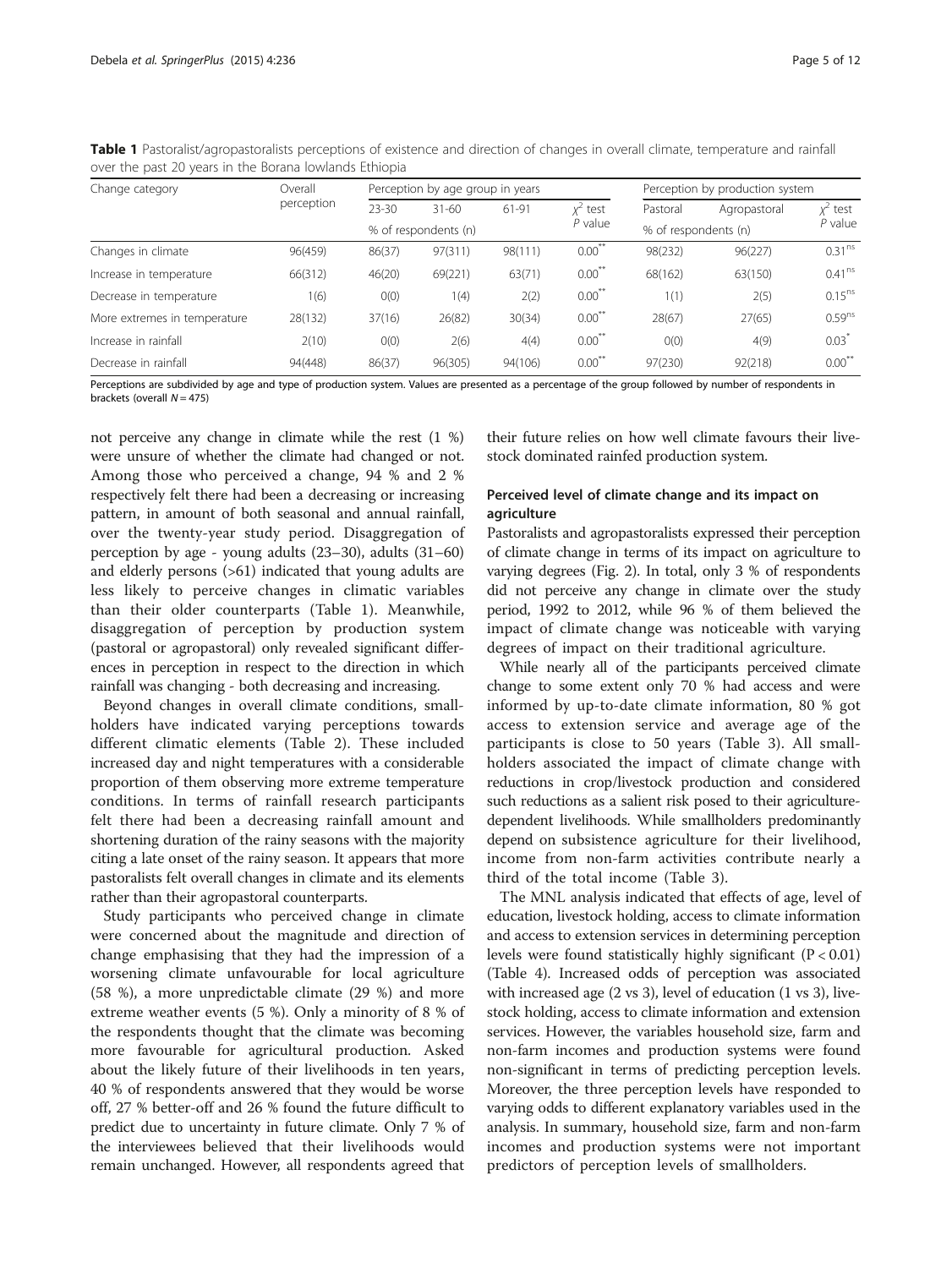| Change category              | Overall<br>perception |           | Perception by age group in years |         |                      |                      | Perception by production system |                    |  |
|------------------------------|-----------------------|-----------|----------------------------------|---------|----------------------|----------------------|---------------------------------|--------------------|--|
|                              |                       | $23 - 30$ | $31 - 60$                        | 61-91   | $x^2$ test           | Pastoral             | Agropastoral                    | $x^2$ test         |  |
|                              |                       |           | % of respondents (n)             |         | $P$ value            | % of respondents (n) |                                 | $P$ value          |  |
| Changes in climate           | 96(459)               | 86(37)    | 97(311)                          | 98(111) | $0.00***$            | 98(232)              | 96(227)                         | 0.31 <sup>ns</sup> |  |
| Increase in temperature      | 66(312)               | 46(20)    | 69(221)                          | 63(71)  | $0.00$ <sup>**</sup> | 68(162)              | 63(150)                         | $0.41^{ns}$        |  |
| Decrease in temperature      | 1(6)                  | O(0)      | 1(4)                             | 2(2)    | $0.00^{*}$           | 1(1)                 | 2(5)                            | $0.15^{ns}$        |  |
| More extremes in temperature | 28(132)               | 37(16)    | 26(82)                           | 30(34)  | $0.00^{**}$          | 28(67)               | 27(65)                          | $0.59^{ns}$        |  |
| Increase in rainfall         | 2(10)                 | O(0)      | 2(6)                             | 4(4)    | $0.00^{**}$          | O(0)                 | 4(9)                            | $0.03^*$           |  |
| Decrease in rainfall         | 94(448)               | 86(37)    | 96(305)                          | 94(106) | $0.00***$            | 97(230)              | 92(218)                         | $0.00***$          |  |

<span id="page-4-0"></span>Table 1 Pastoralist/agropastoralists perceptions of existence and direction of changes in overall climate, temperature and rainfall over the past 20 years in the Borana lowlands Ethiopia

Perceptions are subdivided by age and type of production system. Values are presented as a percentage of the group followed by number of respondents in brackets (overall  $N = 475$ )

not perceive any change in climate while the rest (1 %) were unsure of whether the climate had changed or not. Among those who perceived a change, 94 % and 2 % respectively felt there had been a decreasing or increasing pattern, in amount of both seasonal and annual rainfall, over the twenty-year study period. Disaggregation of perception by age - young adults (23–30), adults (31–60) and elderly persons (>61) indicated that young adults are less likely to perceive changes in climatic variables than their older counterparts (Table 1). Meanwhile, disaggregation of perception by production system (pastoral or agropastoral) only revealed significant differences in perception in respect to the direction in which rainfall was changing - both decreasing and increasing.

Beyond changes in overall climate conditions, smallholders have indicated varying perceptions towards different climatic elements (Table [2](#page-5-0)). These included increased day and night temperatures with a considerable proportion of them observing more extreme temperature conditions. In terms of rainfall research participants felt there had been a decreasing rainfall amount and shortening duration of the rainy seasons with the majority citing a late onset of the rainy season. It appears that more pastoralists felt overall changes in climate and its elements rather than their agropastoral counterparts.

Study participants who perceived change in climate were concerned about the magnitude and direction of change emphasising that they had the impression of a worsening climate unfavourable for local agriculture (58 %), a more unpredictable climate (29 %) and more extreme weather events (5 %). Only a minority of 8 % of the respondents thought that the climate was becoming more favourable for agricultural production. Asked about the likely future of their livelihoods in ten years, 40 % of respondents answered that they would be worse off, 27 % better-off and 26 % found the future difficult to predict due to uncertainty in future climate. Only 7 % of the interviewees believed that their livelihoods would remain unchanged. However, all respondents agreed that

their future relies on how well climate favours their livestock dominated rainfed production system.

## Perceived level of climate change and its impact on agriculture

Pastoralists and agropastoralists expressed their perception of climate change in terms of its impact on agriculture to varying degrees (Fig. [2\)](#page-5-0). In total, only 3 % of respondents did not perceive any change in climate over the study period, 1992 to 2012, while 96 % of them believed the impact of climate change was noticeable with varying degrees of impact on their traditional agriculture.

While nearly all of the participants perceived climate change to some extent only 70 % had access and were informed by up-to-date climate information, 80 % got access to extension service and average age of the participants is close to 50 years (Table [3\)](#page-6-0). All smallholders associated the impact of climate change with reductions in crop/livestock production and considered such reductions as a salient risk posed to their agriculturedependent livelihoods. While smallholders predominantly depend on subsistence agriculture for their livelihood, income from non-farm activities contribute nearly a third of the total income (Table [3](#page-6-0)).

The MNL analysis indicated that effects of age, level of education, livestock holding, access to climate information and access to extension services in determining perception levels were found statistically highly significant  $(P < 0.01)$ (Table [4\)](#page-6-0). Increased odds of perception was associated with increased age (2 vs 3), level of education (1 vs 3), livestock holding, access to climate information and extension services. However, the variables household size, farm and non-farm incomes and production systems were found non-significant in terms of predicting perception levels. Moreover, the three perception levels have responded to varying odds to different explanatory variables used in the analysis. In summary, household size, farm and non-farm incomes and production systems were not important predictors of perception levels of smallholders.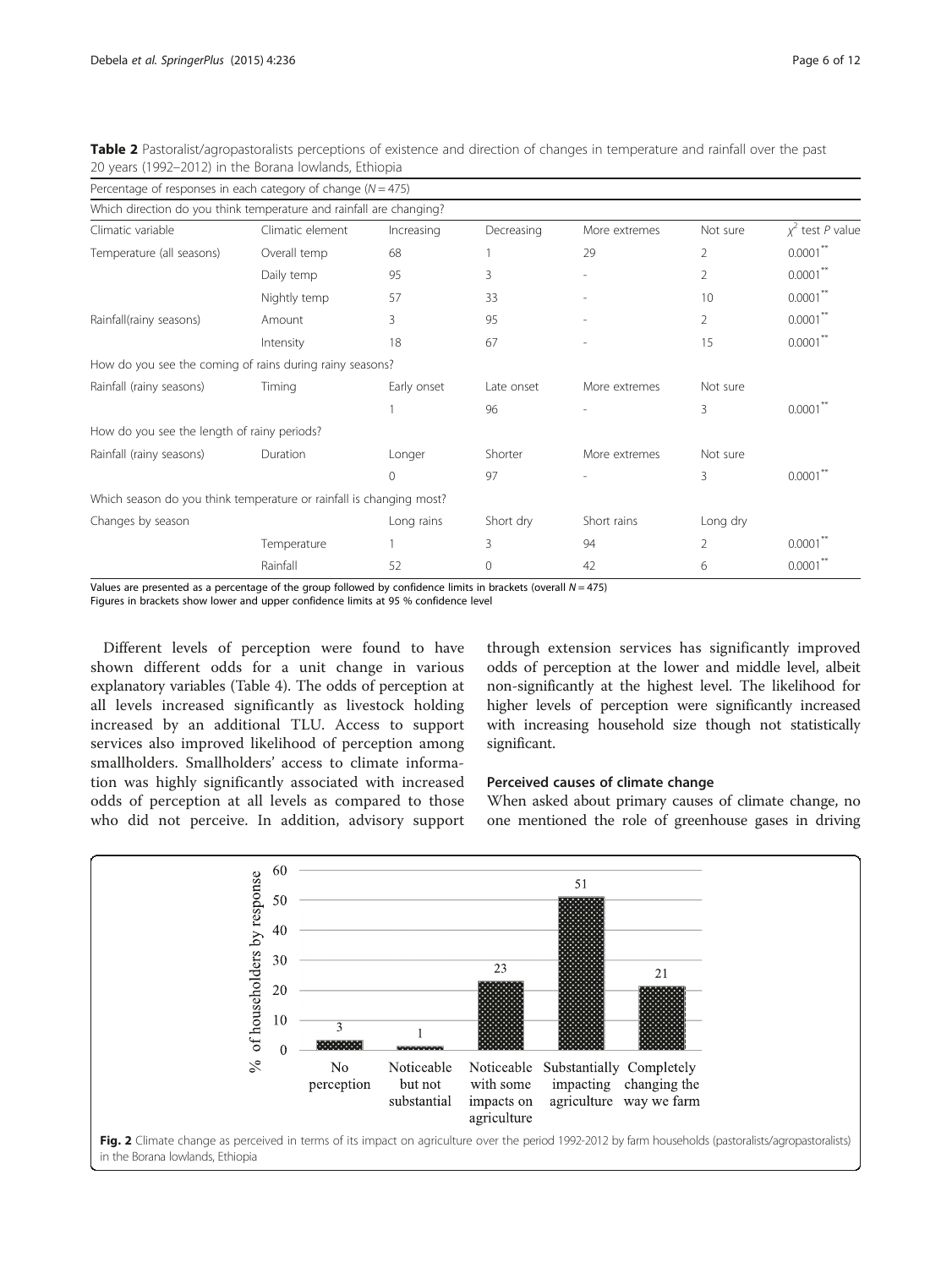| Percentage of responses in each category of change ( $N = 475$ )    |                  |             |              |               |                |                        |
|---------------------------------------------------------------------|------------------|-------------|--------------|---------------|----------------|------------------------|
| Which direction do you think temperature and rainfall are changing? |                  |             |              |               |                |                        |
| Climatic variable                                                   | Climatic element | Increasing  | Decreasing   | More extremes | Not sure       | $x^2$ test P value     |
| Temperature (all seasons)                                           | Overall temp     | 68          |              | 29            | $\overline{2}$ | $0.0001$ <sup>**</sup> |
|                                                                     | Daily temp       | 95          | 3            |               | $\overline{2}$ | 0.0001                 |
|                                                                     | Nightly temp     | 57          | 33           |               | 10             | $0.0001$ <sup>**</sup> |
| Rainfall(rainy seasons)                                             | Amount           | 3           | 95           |               | $\overline{2}$ | $0.0001$ <sup>**</sup> |
|                                                                     | Intensity        | 18          | 67           |               | 15             | $0.0001$ <sup>**</sup> |
| How do you see the coming of rains during rainy seasons?            |                  |             |              |               |                |                        |
| Rainfall (rainy seasons)                                            | Timing           | Early onset | Late onset   | More extremes | Not sure       |                        |
|                                                                     |                  |             | 96           |               | 3              | 0.0001                 |
| How do you see the length of rainy periods?                         |                  |             |              |               |                |                        |
| Rainfall (rainy seasons)                                            | Duration         | Longer      | Shorter      | More extremes | Not sure       |                        |
|                                                                     |                  | $\mathbf 0$ | 97           |               | 3              | 0.0001                 |
| Which season do you think temperature or rainfall is changing most? |                  |             |              |               |                |                        |
| Changes by season                                                   |                  | Long rains  | Short dry    | Short rains   | Long dry       |                        |
|                                                                     | Temperature      |             | 3            | 94            | $\overline{2}$ | $0.0001^{\degree}$     |
|                                                                     | Rainfall         | 52          | $\mathbf{0}$ | 42            | 6              | $0.0001$ **            |

<span id="page-5-0"></span>Table 2 Pastoralist/agropastoralists perceptions of existence and direction of changes in temperature and rainfall over the past 20 years (1992–2012) in the Borana lowlands, Ethiopia

Values are presented as a percentage of the group followed by confidence limits in brackets (overall  $N = 475$ ) Figures in brackets show lower and upper confidence limits at 95 % confidence level

Different levels of perception were found to have shown different odds for a unit change in various explanatory variables (Table [4\)](#page-6-0). The odds of perception at all levels increased significantly as livestock holding increased by an additional TLU. Access to support services also improved likelihood of perception among smallholders. Smallholders' access to climate information was highly significantly associated with increased odds of perception at all levels as compared to those who did not perceive. In addition, advisory support

through extension services has significantly improved odds of perception at the lower and middle level, albeit non-significantly at the highest level. The likelihood for higher levels of perception were significantly increased with increasing household size though not statistically significant.

#### Perceived causes of climate change

When asked about primary causes of climate change, no one mentioned the role of greenhouse gases in driving

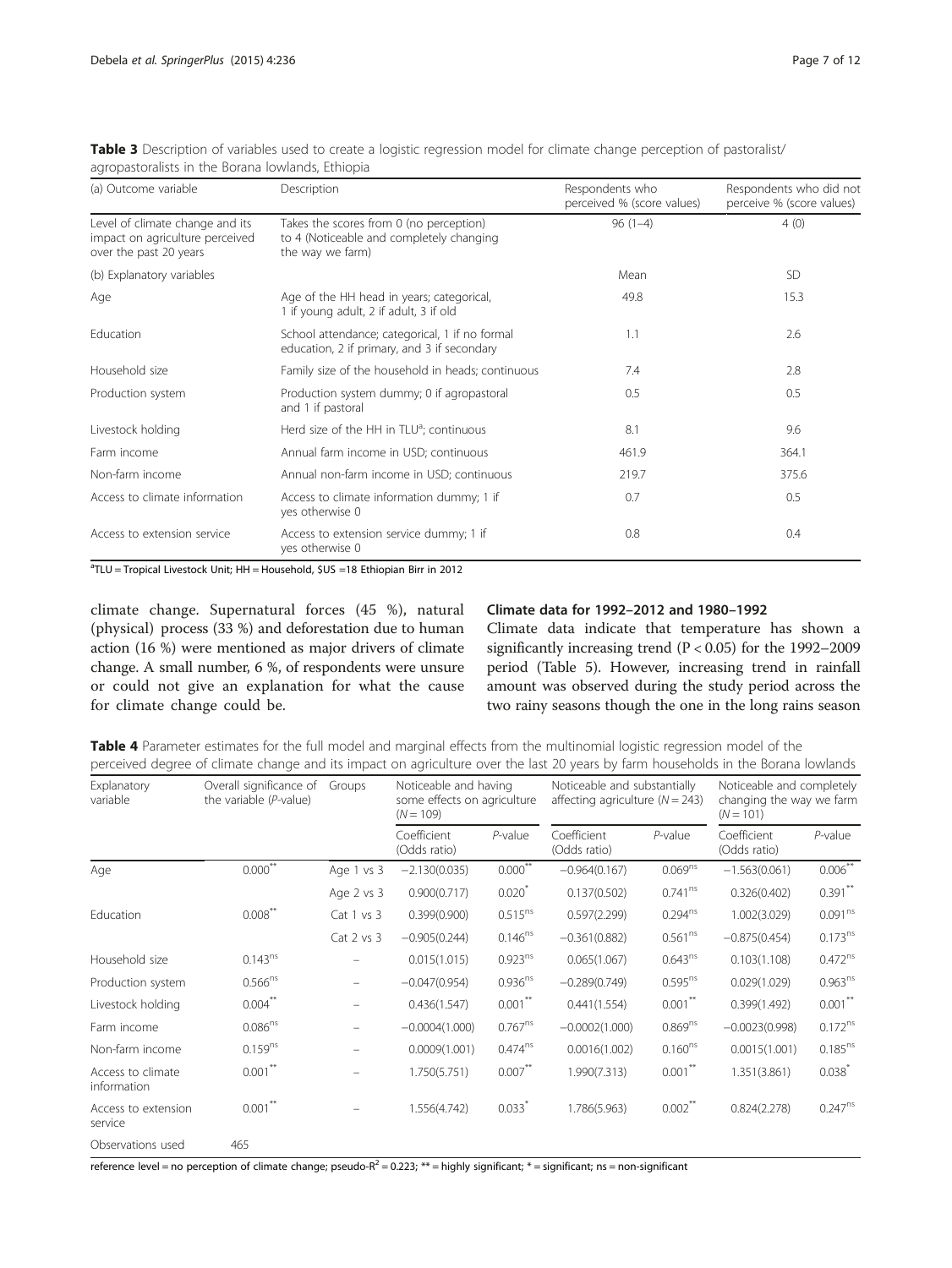| (a) Outcome variable                                                                         | Description                                                                                             | Respondents who<br>perceived % (score values) | Respondents who did not<br>perceive % (score values) |
|----------------------------------------------------------------------------------------------|---------------------------------------------------------------------------------------------------------|-----------------------------------------------|------------------------------------------------------|
| Level of climate change and its<br>impact on agriculture perceived<br>over the past 20 years | Takes the scores from 0 (no perception)<br>to 4 (Noticeable and completely changing<br>the way we farm) | $96(1-4)$                                     | 4(0)                                                 |
| (b) Explanatory variables                                                                    |                                                                                                         | Mean                                          | <b>SD</b>                                            |
| Age                                                                                          | Age of the HH head in years; categorical,<br>1 if young adult, 2 if adult, 3 if old                     | 49.8                                          | 15.3                                                 |
| Education                                                                                    | School attendance; categorical, 1 if no formal<br>education, 2 if primary, and 3 if secondary           | 1.1                                           | 2.6                                                  |
| Household size                                                                               | Family size of the household in heads; continuous                                                       | 7.4                                           | 2.8                                                  |
| Production system                                                                            | Production system dummy; 0 if agropastoral<br>and 1 if pastoral                                         | 0.5                                           | 0.5                                                  |
| Livestock holding                                                                            | Herd size of the HH in $TLU^a$ ; continuous                                                             | 8.1                                           | 9.6                                                  |
| Farm income                                                                                  | Annual farm income in USD; continuous                                                                   | 461.9                                         | 364.1                                                |
| Non-farm income                                                                              | Annual non-farm income in USD; continuous                                                               | 219.7                                         | 375.6                                                |
| Access to climate information                                                                | Access to climate information dummy; 1 if<br>yes otherwise 0                                            | 0.7                                           | 0.5                                                  |
| Access to extension service                                                                  | Access to extension service dummy; 1 if<br>yes otherwise 0                                              | 0.8                                           | 0.4                                                  |

<span id="page-6-0"></span>Table 3 Description of variables used to create a logistic regression model for climate change perception of pastoralist/ agropastoralists in the Borana lowlands, Ethiopia

<sup>a</sup>TLU = Tropical Livestock Unit; HH = Household, \$US =18 Ethiopian Birr in 2012

climate change. Supernatural forces (45 %), natural (physical) process (33 %) and deforestation due to human action (16 %) were mentioned as major drivers of climate change. A small number, 6 %, of respondents were unsure or could not give an explanation for what the cause for climate change could be.

### Climate data for 1992–2012 and 1980–1992

Climate data indicate that temperature has shown a significantly increasing trend (P < 0.05) for the 1992–2009 period (Table [5](#page-7-0)). However, increasing trend in rainfall amount was observed during the study period across the two rainy seasons though the one in the long rains season

Table 4 Parameter estimates for the full model and marginal effects from the multinomial logistic regression model of the perceived degree of climate change and its impact on agriculture over the last 20 years by farm households in the Borana lowlands

| Explanatory<br>variable          | Overall significance of<br>the variable (P-value) | Groups         | Noticeable and having<br>some effects on agriculture<br>$(N = 109)$ |                     | Noticeable and substantially<br>affecting agriculture ( $N = 243$ ) |                     | Noticeable and completely<br>changing the way we farm<br>$(N = 101)$ |                     |
|----------------------------------|---------------------------------------------------|----------------|---------------------------------------------------------------------|---------------------|---------------------------------------------------------------------|---------------------|----------------------------------------------------------------------|---------------------|
|                                  |                                                   |                | Coefficient<br>(Odds ratio)                                         | $P$ -value          | Coefficient<br>(Odds ratio)                                         | $P$ -value          | Coefficient<br>(Odds ratio)                                          | $P$ -value          |
| Age                              | $0.000^{**}$                                      | Age 1 vs 3     | $-2.130(0.035)$                                                     | $0.000^{**}$        | $-0.964(0.167)$                                                     | 0.069 <sup>ns</sup> | $-1.563(0.061)$                                                      | $0.006***$          |
|                                  |                                                   | Age 2 vs 3     | 0.900(0.717)                                                        | $0.020^{r}$         | 0.137(0.502)                                                        | $0.741^{ns}$        | 0.326(0.402)                                                         | $0.391$ **          |
| Education                        | $0.008**$                                         | Cat 1 vs 3     | 0.399(0.900)                                                        | $0.515^{ns}$        | 0.597(2.299)                                                        | $0.294^{ns}$        | 1.002(3.029)                                                         | 0.091 <sup>ns</sup> |
|                                  |                                                   | Cat $2$ vs $3$ | $-0.905(0.244)$                                                     | $0.146^{ns}$        | $-0.361(0.882)$                                                     | 0.561 <sup>ns</sup> | $-0.875(0.454)$                                                      | $0.173^{ns}$        |
| Household size                   | $0.143^{ns}$                                      |                | 0.015(1.015)                                                        | $0.923^{ns}$        | 0.065(1.067)                                                        | $0.643^{ns}$        | 0.103(1.108)                                                         | $0.472^{ns}$        |
| Production system                | $0.566^{ns}$                                      |                | $-0.047(0.954)$                                                     | 0.936 <sup>ns</sup> | $-0.289(0.749)$                                                     | $0.595^{ns}$        | 0.029(1.029)                                                         | $0.963^{ns}$        |
| Livestock holding                | $0.004$ **                                        |                | 0.436(1.547)                                                        | $0.001$ **          | 0.441(1.554)                                                        | $0.001$ **          | 0.399(1.492)                                                         | $0.001$ **          |
| Farm income                      | 0.086 <sup>ns</sup>                               |                | $-0.0004(1.000)$                                                    | $0.767^{ns}$        | $-0.0002(1.000)$                                                    | 0.869 <sup>ns</sup> | $-0.0023(0.998)$                                                     | $0.172^{ns}$        |
| Non-farm income                  | $0.159^{ns}$                                      |                | 0.0009(1.001)                                                       | $0.474^{ns}$        | 0.0016(1.002)                                                       | $0.160^{ns}$        | 0.0015(1.001)                                                        | $0.185^{ns}$        |
| Access to climate<br>information | $0.001$ **                                        |                | 1.750(5.751)                                                        | $0.007***$          | 1.990(7.313)                                                        | $0.001$ **          | 1.351(3.861)                                                         | $0.038^{*}$         |
| Access to extension<br>service   | $0.001***$                                        |                | 1.556(4.742)                                                        | $0.033*$            | 1.786(5.963)                                                        | $0.002$ **          | 0.824(2.278)                                                         | $0.247^{ns}$        |
| Observations used                | 465                                               |                |                                                                     |                     |                                                                     |                     |                                                                      |                     |

reference level = no perception of climate change; pseudo-R<sup>2</sup> = 0.223; \*\* = highly significant; \* = significant; ns = non-significant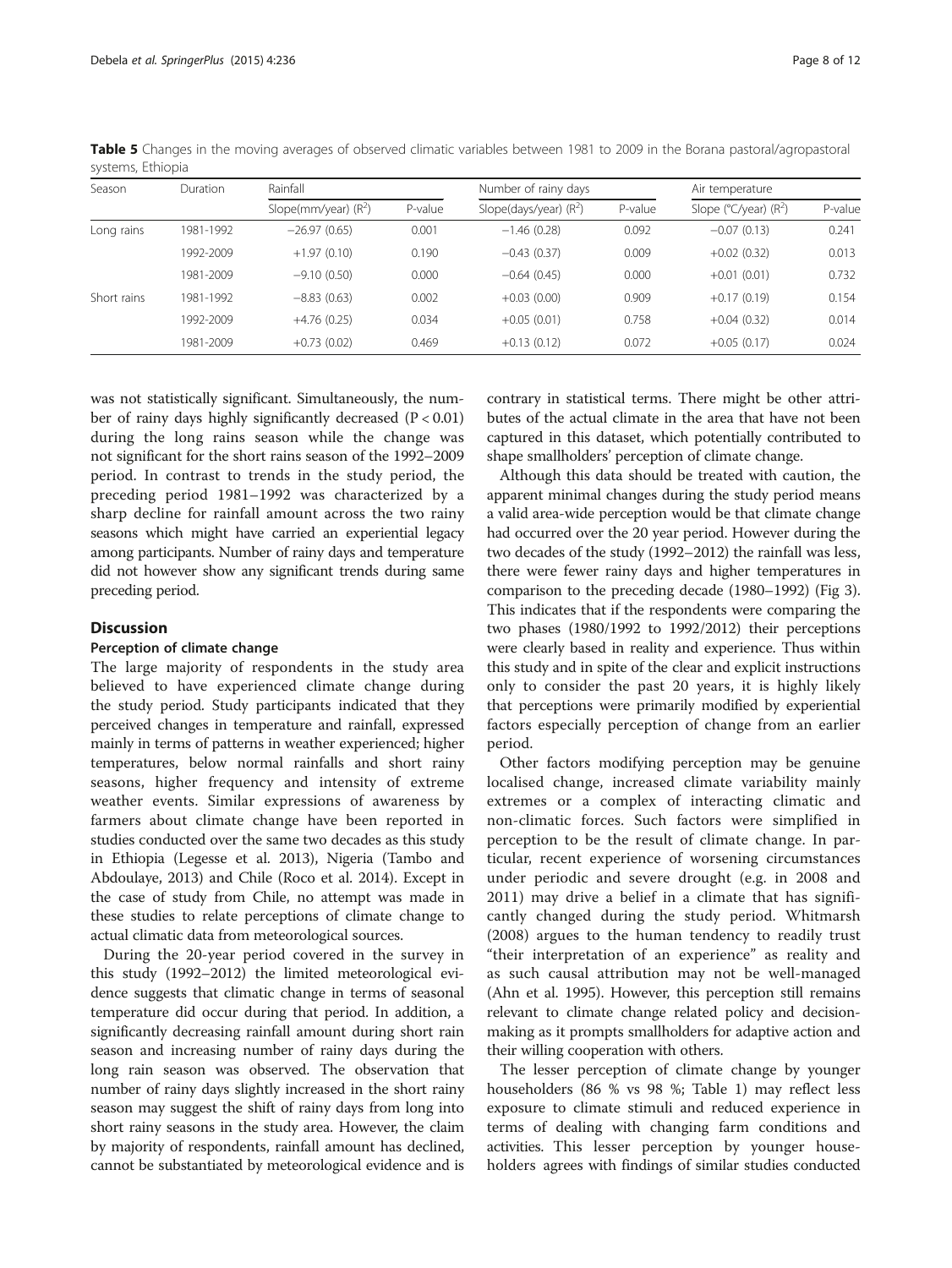| Season      | <b>Duration</b> | Rainfall               |         | Number of rainy days    |         | Air temperature             |         |
|-------------|-----------------|------------------------|---------|-------------------------|---------|-----------------------------|---------|
|             |                 | Slope(mm/year) $(R^2)$ | P-value | Slope(days/year) $(R2)$ | P-value | Slope ( $C/year$ ) ( $R2$ ) | P-value |
| Long rains  | 1981-1992       | $-26.97(0.65)$         | 0.001   | $-1.46(0.28)$           | 0.092   | $-0.07(0.13)$               | 0.241   |
|             | 1992-2009       | $+1.97(0.10)$          | 0.190   | $-0.43(0.37)$           | 0.009   | $+0.02(0.32)$               | 0.013   |
|             | 1981-2009       | $-9.10(0.50)$          | 0.000   | $-0.64(0.45)$           | 0.000   | $+0.01(0.01)$               | 0.732   |
| Short rains | 1981-1992       | $-8.83(0.63)$          | 0.002   | $+0.03(0.00)$           | 0.909   | $+0.17(0.19)$               | 0.154   |
|             | 1992-2009       | $+4.76(0.25)$          | 0.034   | $+0.05(0.01)$           | 0.758   | $+0.04(0.32)$               | 0.014   |
|             | 1981-2009       | $+0.73(0.02)$          | 0.469   | $+0.13(0.12)$           | 0.072   | $+0.05(0.17)$               | 0.024   |

<span id="page-7-0"></span>Table 5 Changes in the moving averages of observed climatic variables between 1981 to 2009 in the Borana pastoral/agropastoral systems, Ethiopia

was not statistically significant. Simultaneously, the number of rainy days highly significantly decreased  $(P < 0.01)$ during the long rains season while the change was not significant for the short rains season of the 1992–2009 period. In contrast to trends in the study period, the preceding period 1981–1992 was characterized by a sharp decline for rainfall amount across the two rainy seasons which might have carried an experiential legacy among participants. Number of rainy days and temperature did not however show any significant trends during same preceding period.

#### **Discussion**

## Perception of climate change

The large majority of respondents in the study area believed to have experienced climate change during the study period. Study participants indicated that they perceived changes in temperature and rainfall, expressed mainly in terms of patterns in weather experienced; higher temperatures, below normal rainfalls and short rainy seasons, higher frequency and intensity of extreme weather events. Similar expressions of awareness by farmers about climate change have been reported in studies conducted over the same two decades as this study in Ethiopia (Legesse et al. [2013\)](#page-10-0), Nigeria (Tambo and Abdoulaye, [2013](#page-10-0)) and Chile (Roco et al. [2014](#page-10-0)). Except in the case of study from Chile, no attempt was made in these studies to relate perceptions of climate change to actual climatic data from meteorological sources.

During the 20-year period covered in the survey in this study (1992–2012) the limited meteorological evidence suggests that climatic change in terms of seasonal temperature did occur during that period. In addition, a significantly decreasing rainfall amount during short rain season and increasing number of rainy days during the long rain season was observed. The observation that number of rainy days slightly increased in the short rainy season may suggest the shift of rainy days from long into short rainy seasons in the study area. However, the claim by majority of respondents, rainfall amount has declined, cannot be substantiated by meteorological evidence and is

contrary in statistical terms. There might be other attributes of the actual climate in the area that have not been captured in this dataset, which potentially contributed to shape smallholders' perception of climate change.

Although this data should be treated with caution, the apparent minimal changes during the study period means a valid area-wide perception would be that climate change had occurred over the 20 year period. However during the two decades of the study (1992–2012) the rainfall was less, there were fewer rainy days and higher temperatures in comparison to the preceding decade (1980–1992) (Fig [3](#page-8-0)). This indicates that if the respondents were comparing the two phases (1980/1992 to 1992/2012) their perceptions were clearly based in reality and experience. Thus within this study and in spite of the clear and explicit instructions only to consider the past 20 years, it is highly likely that perceptions were primarily modified by experiential factors especially perception of change from an earlier period.

Other factors modifying perception may be genuine localised change, increased climate variability mainly extremes or a complex of interacting climatic and non-climatic forces. Such factors were simplified in perception to be the result of climate change. In particular, recent experience of worsening circumstances under periodic and severe drought (e.g. in 2008 and 2011) may drive a belief in a climate that has significantly changed during the study period. Whitmarsh ([2008\)](#page-11-0) argues to the human tendency to readily trust "their interpretation of an experience" as reality and as such causal attribution may not be well-managed (Ahn et al. [1995\)](#page-10-0). However, this perception still remains relevant to climate change related policy and decisionmaking as it prompts smallholders for adaptive action and their willing cooperation with others.

The lesser perception of climate change by younger householders (86 % vs 98 %; Table [1\)](#page-4-0) may reflect less exposure to climate stimuli and reduced experience in terms of dealing with changing farm conditions and activities. This lesser perception by younger householders agrees with findings of similar studies conducted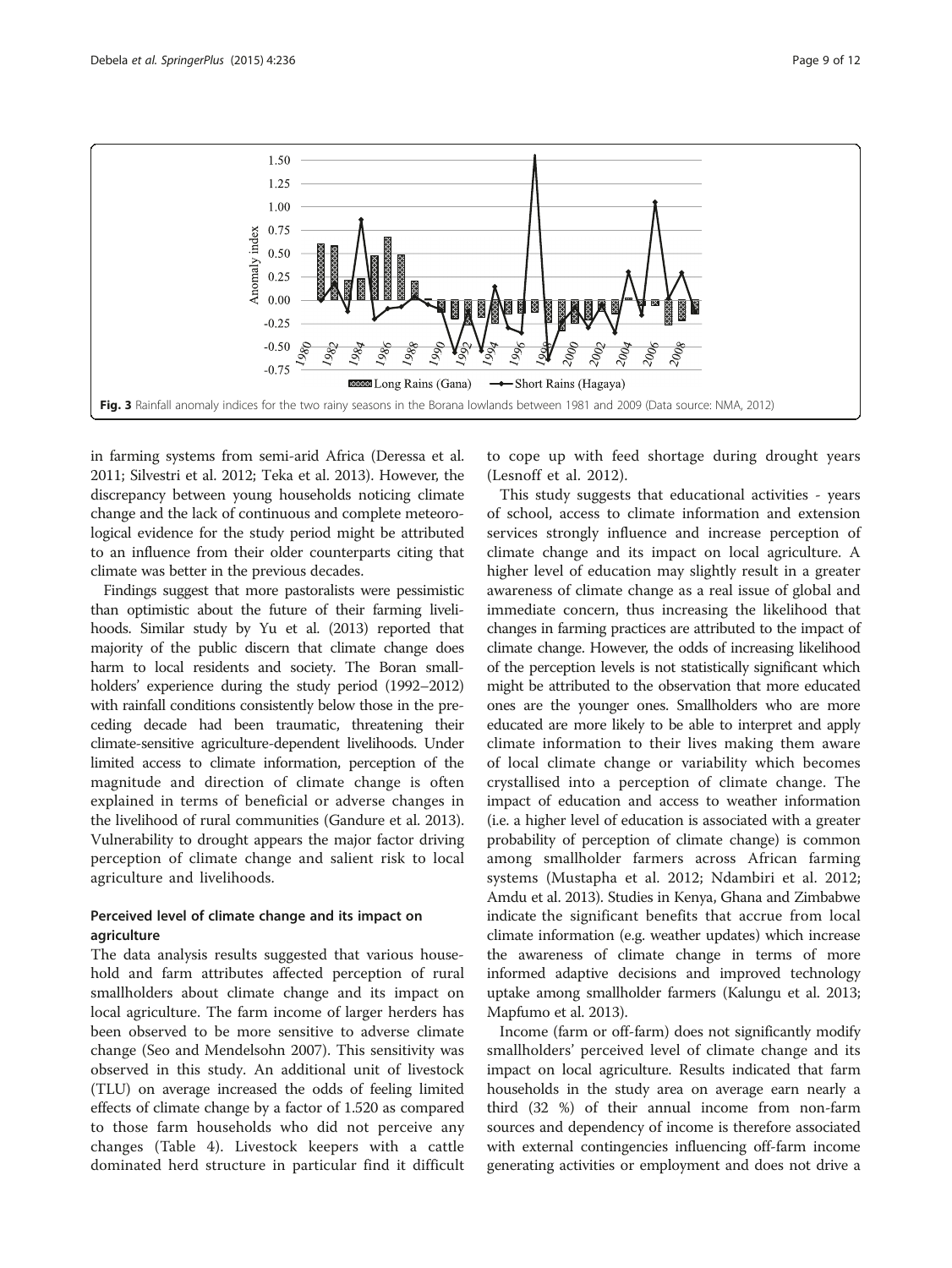<span id="page-8-0"></span>

in farming systems from semi-arid Africa (Deressa et al. [2011;](#page-10-0) Silvestri et al. [2012](#page-10-0); Teka et al. [2013\)](#page-10-0). However, the discrepancy between young households noticing climate change and the lack of continuous and complete meteorological evidence for the study period might be attributed to an influence from their older counterparts citing that climate was better in the previous decades.

Findings suggest that more pastoralists were pessimistic than optimistic about the future of their farming livelihoods. Similar study by Yu et al. ([2013\)](#page-11-0) reported that majority of the public discern that climate change does harm to local residents and society. The Boran smallholders' experience during the study period (1992–2012) with rainfall conditions consistently below those in the preceding decade had been traumatic, threatening their climate-sensitive agriculture-dependent livelihoods. Under limited access to climate information, perception of the magnitude and direction of climate change is often explained in terms of beneficial or adverse changes in the livelihood of rural communities (Gandure et al. [2013](#page-10-0)). Vulnerability to drought appears the major factor driving perception of climate change and salient risk to local agriculture and livelihoods.

## Perceived level of climate change and its impact on agriculture

The data analysis results suggested that various household and farm attributes affected perception of rural smallholders about climate change and its impact on local agriculture. The farm income of larger herders has been observed to be more sensitive to adverse climate change (Seo and Mendelsohn [2007\)](#page-10-0). This sensitivity was observed in this study. An additional unit of livestock (TLU) on average increased the odds of feeling limited effects of climate change by a factor of 1.520 as compared to those farm households who did not perceive any changes (Table [4\)](#page-6-0). Livestock keepers with a cattle dominated herd structure in particular find it difficult to cope up with feed shortage during drought years (Lesnoff et al. [2012](#page-10-0)).

This study suggests that educational activities - years of school, access to climate information and extension services strongly influence and increase perception of climate change and its impact on local agriculture. A higher level of education may slightly result in a greater awareness of climate change as a real issue of global and immediate concern, thus increasing the likelihood that changes in farming practices are attributed to the impact of climate change. However, the odds of increasing likelihood of the perception levels is not statistically significant which might be attributed to the observation that more educated ones are the younger ones. Smallholders who are more educated are more likely to be able to interpret and apply climate information to their lives making them aware of local climate change or variability which becomes crystallised into a perception of climate change. The impact of education and access to weather information (i.e. a higher level of education is associated with a greater probability of perception of climate change) is common among smallholder farmers across African farming systems (Mustapha et al. [2012;](#page-10-0) Ndambiri et al. [2012](#page-10-0); Amdu et al. [2013\)](#page-10-0). Studies in Kenya, Ghana and Zimbabwe indicate the significant benefits that accrue from local climate information (e.g. weather updates) which increase the awareness of climate change in terms of more informed adaptive decisions and improved technology uptake among smallholder farmers (Kalungu et al. [2013](#page-10-0); Mapfumo et al. [2013\)](#page-10-0).

Income (farm or off-farm) does not significantly modify smallholders' perceived level of climate change and its impact on local agriculture. Results indicated that farm households in the study area on average earn nearly a third (32 %) of their annual income from non-farm sources and dependency of income is therefore associated with external contingencies influencing off-farm income generating activities or employment and does not drive a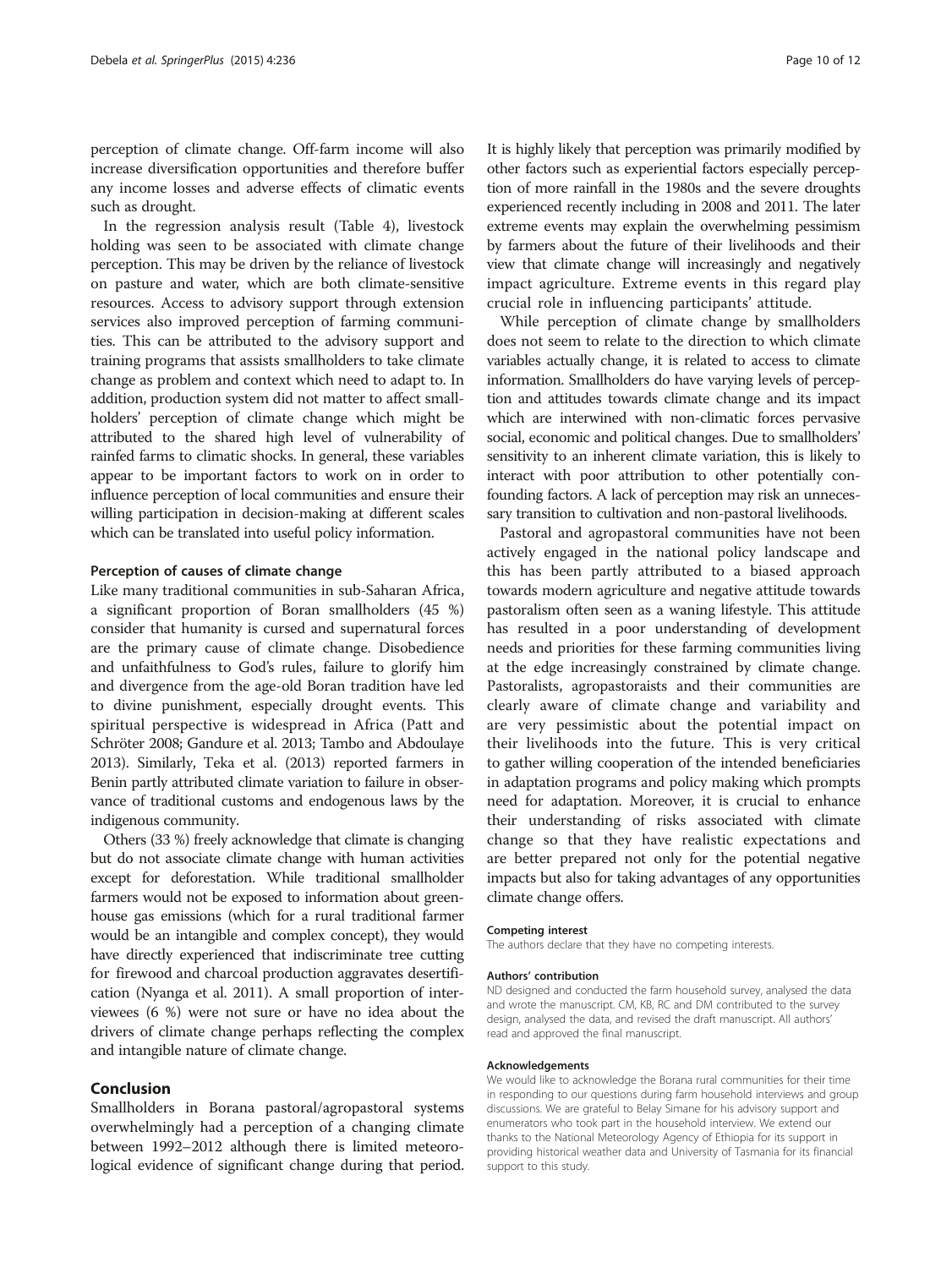perception of climate change. Off-farm income will also increase diversification opportunities and therefore buffer any income losses and adverse effects of climatic events such as drought.

In the regression analysis result (Table [4](#page-6-0)), livestock holding was seen to be associated with climate change perception. This may be driven by the reliance of livestock on pasture and water, which are both climate-sensitive resources. Access to advisory support through extension services also improved perception of farming communities. This can be attributed to the advisory support and training programs that assists smallholders to take climate change as problem and context which need to adapt to. In addition, production system did not matter to affect smallholders' perception of climate change which might be attributed to the shared high level of vulnerability of rainfed farms to climatic shocks. In general, these variables appear to be important factors to work on in order to influence perception of local communities and ensure their willing participation in decision-making at different scales which can be translated into useful policy information.

#### Perception of causes of climate change

Like many traditional communities in sub-Saharan Africa, a significant proportion of Boran smallholders (45 %) consider that humanity is cursed and supernatural forces are the primary cause of climate change. Disobedience and unfaithfulness to God's rules, failure to glorify him and divergence from the age-old Boran tradition have led to divine punishment, especially drought events. This spiritual perspective is widespread in Africa (Patt and Schröter [2008](#page-10-0); Gandure et al. [2013](#page-10-0); Tambo and Abdoulaye [2013\)](#page-10-0). Similarly, Teka et al. [\(2013](#page-10-0)) reported farmers in Benin partly attributed climate variation to failure in observance of traditional customs and endogenous laws by the indigenous community.

Others (33 %) freely acknowledge that climate is changing but do not associate climate change with human activities except for deforestation. While traditional smallholder farmers would not be exposed to information about greenhouse gas emissions (which for a rural traditional farmer would be an intangible and complex concept), they would have directly experienced that indiscriminate tree cutting for firewood and charcoal production aggravates desertification (Nyanga et al. [2011](#page-10-0)). A small proportion of interviewees (6 %) were not sure or have no idea about the drivers of climate change perhaps reflecting the complex and intangible nature of climate change.

## Conclusion

Smallholders in Borana pastoral/agropastoral systems overwhelmingly had a perception of a changing climate between 1992–2012 although there is limited meteorological evidence of significant change during that period. It is highly likely that perception was primarily modified by other factors such as experiential factors especially perception of more rainfall in the 1980s and the severe droughts experienced recently including in 2008 and 2011. The later extreme events may explain the overwhelming pessimism by farmers about the future of their livelihoods and their view that climate change will increasingly and negatively impact agriculture. Extreme events in this regard play crucial role in influencing participants' attitude.

While perception of climate change by smallholders does not seem to relate to the direction to which climate variables actually change, it is related to access to climate information. Smallholders do have varying levels of perception and attitudes towards climate change and its impact which are interwined with non-climatic forces pervasive social, economic and political changes. Due to smallholders' sensitivity to an inherent climate variation, this is likely to interact with poor attribution to other potentially confounding factors. A lack of perception may risk an unnecessary transition to cultivation and non-pastoral livelihoods.

Pastoral and agropastoral communities have not been actively engaged in the national policy landscape and this has been partly attributed to a biased approach towards modern agriculture and negative attitude towards pastoralism often seen as a waning lifestyle. This attitude has resulted in a poor understanding of development needs and priorities for these farming communities living at the edge increasingly constrained by climate change. Pastoralists, agropastoraists and their communities are clearly aware of climate change and variability and are very pessimistic about the potential impact on their livelihoods into the future. This is very critical to gather willing cooperation of the intended beneficiaries in adaptation programs and policy making which prompts need for adaptation. Moreover, it is crucial to enhance their understanding of risks associated with climate change so that they have realistic expectations and are better prepared not only for the potential negative impacts but also for taking advantages of any opportunities climate change offers.

#### Competing interest

The authors declare that they have no competing interests.

#### Authors' contribution

ND designed and conducted the farm household survey, analysed the data and wrote the manuscript. CM, KB, RC and DM contributed to the survey design, analysed the data, and revised the draft manuscript. All authors' read and approved the final manuscript.

#### Acknowledgements

We would like to acknowledge the Borana rural communities for their time in responding to our questions during farm household interviews and group discussions. We are grateful to Belay Simane for his advisory support and enumerators who took part in the household interview. We extend our thanks to the National Meteorology Agency of Ethiopia for its support in providing historical weather data and University of Tasmania for its financial support to this study.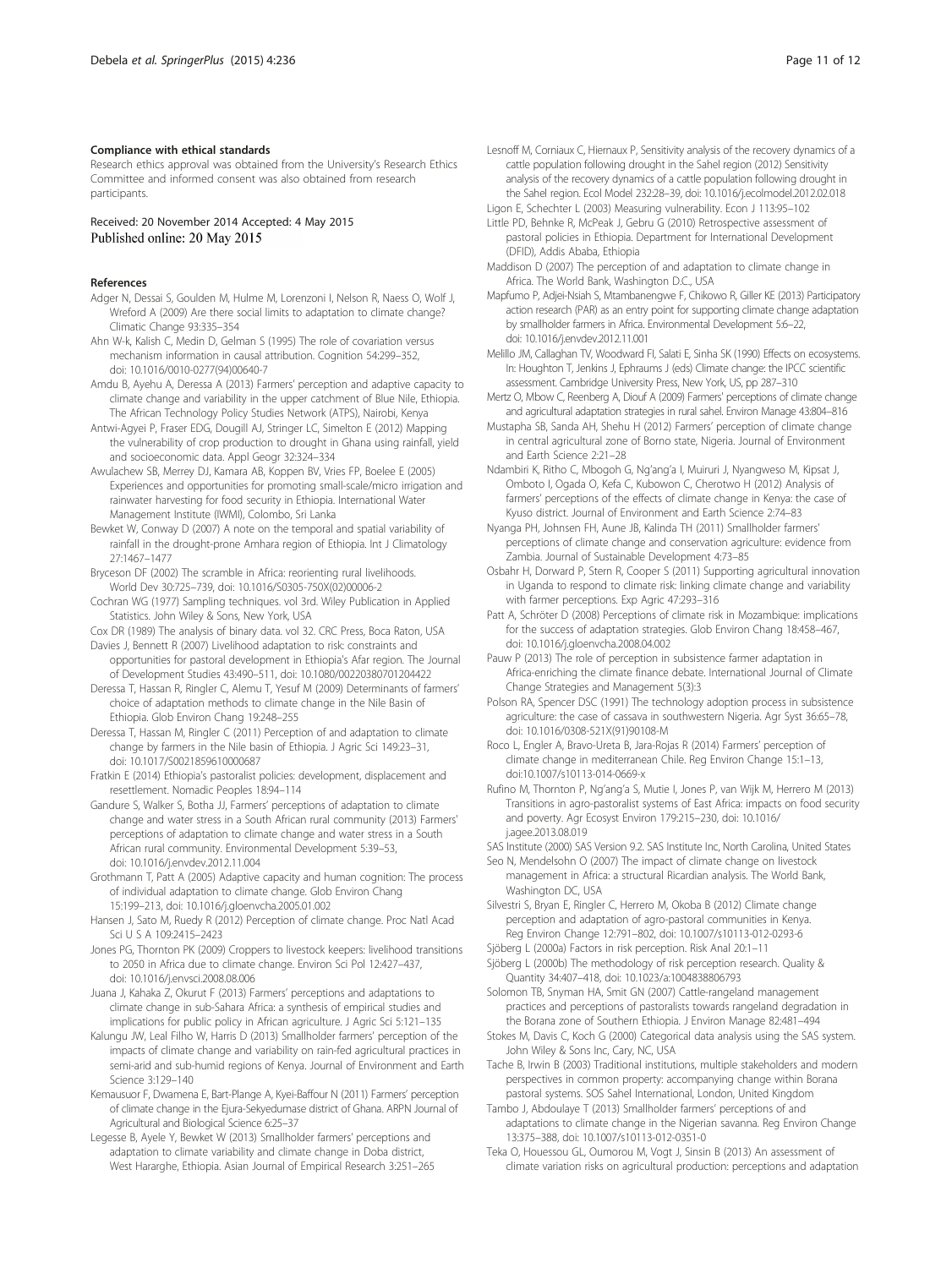#### <span id="page-10-0"></span>Compliance with ethical standards

Research ethics approval was obtained from the University's Research Ethics Committee and informed consent was also obtained from research participants.

#### Received: 20 November 2014 Accepted: 4 May 2015 Published online: 20 May 2015

#### References

- Adger N, Dessai S, Goulden M, Hulme M, Lorenzoni I, Nelson R, Naess O, Wolf J, Wreford A (2009) Are there social limits to adaptation to climate change? Climatic Change 93:335–354
- Ahn W-k, Kalish C, Medin D, Gelman S (1995) The role of covariation versus mechanism information in causal attribution. Cognition 54:299–352, doi: 10.1016/0010-0277(94)00640-7
- Amdu B, Ayehu A, Deressa A (2013) Farmers' perception and adaptive capacity to climate change and variability in the upper catchment of Blue Nile, Ethiopia. The African Technology Policy Studies Network (ATPS), Nairobi, Kenya
- Antwi-Agyei P, Fraser EDG, Dougill AJ, Stringer LC, Simelton E (2012) Mapping the vulnerability of crop production to drought in Ghana using rainfall, yield and socioeconomic data. Appl Geogr 32:324–334
- Awulachew SB, Merrey DJ, Kamara AB, Koppen BV, Vries FP, Boelee E (2005) Experiences and opportunities for promoting small-scale/micro irrigation and rainwater harvesting for food security in Ethiopia. International Water Management Institute (IWMI), Colombo, Sri Lanka
- Bewket W, Conway D (2007) A note on the temporal and spatial variability of rainfall in the drought-prone Amhara region of Ethiopia. Int J Climatology 27:1467–1477
- Bryceson DF (2002) The scramble in Africa: reorienting rural livelihoods. World Dev 30:725–739, doi: 10.1016/S0305-750X(02)00006-2
- Cochran WG (1977) Sampling techniques. vol 3rd. Wiley Publication in Applied Statistics. John Wiley & Sons, New York, USA
- Cox DR (1989) The analysis of binary data. vol 32. CRC Press, Boca Raton, USA
- Davies J, Bennett R (2007) Livelihood adaptation to risk: constraints and opportunities for pastoral development in Ethiopia's Afar region. The Journal of Development Studies 43:490–511, doi: 10.1080/00220380701204422
- Deressa T, Hassan R, Ringler C, Alemu T, Yesuf M (2009) Determinants of farmers' choice of adaptation methods to climate change in the Nile Basin of Ethiopia. Glob Environ Chang 19:248–255
- Deressa T, Hassan M, Ringler C (2011) Perception of and adaptation to climate change by farmers in the Nile basin of Ethiopia. J Agric Sci 149:23–31, doi: 10.1017/S0021859610000687
- Fratkin E (2014) Ethiopia's pastoralist policies: development, displacement and resettlement. Nomadic Peoples 18:94–114
- Gandure S, Walker S, Botha JJ, Farmers' perceptions of adaptation to climate change and water stress in a South African rural community (2013) Farmers' perceptions of adaptation to climate change and water stress in a South African rural community. Environmental Development 5:39–53, doi: 10.1016/j.envdev.2012.11.004
- Grothmann T, Patt A (2005) Adaptive capacity and human cognition: The process of individual adaptation to climate change. Glob Environ Chang 15:199–213, doi: 10.1016/j.gloenvcha.2005.01.002
- Hansen J, Sato M, Ruedy R (2012) Perception of climate change. Proc Natl Acad Sci U S A 109:2415–2423
- Jones PG, Thornton PK (2009) Croppers to livestock keepers: livelihood transitions to 2050 in Africa due to climate change. Environ Sci Pol 12:427–437, doi: 10.1016/j.envsci.2008.08.006
- Juana J, Kahaka Z, Okurut F (2013) Farmers' perceptions and adaptations to climate change in sub-Sahara Africa: a synthesis of empirical studies and implications for public policy in African agriculture. J Agric Sci 5:121–135
- Kalungu JW, Leal Filho W, Harris D (2013) Smallholder farmers' perception of the impacts of climate change and variability on rain-fed agricultural practices in semi-arid and sub-humid regions of Kenya. Journal of Environment and Earth Science 3:129–140
- Kemausuor F, Dwamena E, Bart-Plange A, Kyei-Baffour N (2011) Farmers' perception of climate change in the Ejura-Sekyedumase district of Ghana. ARPN Journal of Agricultural and Biological Science 6:25–37
- Legesse B, Ayele Y, Bewket W (2013) Smallholder farmers' perceptions and adaptation to climate variability and climate change in Doba district, West Hararghe, Ethiopia. Asian Journal of Empirical Research 3:251–265
- Lesnoff M, Corniaux C, Hiernaux P, Sensitivity analysis of the recovery dynamics of a cattle population following drought in the Sahel region (2012) Sensitivity analysis of the recovery dynamics of a cattle population following drought in the Sahel region. Ecol Model 232:28–39, doi: 10.1016/j.ecolmodel.2012.02.018
- Ligon E, Schechter L (2003) Measuring vulnerability. Econ J 113:95–102
- Little PD, Behnke R, McPeak J, Gebru G (2010) Retrospective assessment of pastoral policies in Ethiopia. Department for International Development (DFID), Addis Ababa, Ethiopia
- Maddison D (2007) The perception of and adaptation to climate change in Africa. The World Bank, Washington D.C., USA
- Mapfumo P, Adjei-Nsiah S, Mtambanengwe F, Chikowo R, Giller KE (2013) Participatory action research (PAR) as an entry point for supporting climate change adaptation by smallholder farmers in Africa. Environmental Development 5:6–22, doi: 10.1016/j.envdev.2012.11.001
- Melillo JM, Callaghan TV, Woodward FI, Salati E, Sinha SK (1990) Effects on ecosystems. In: Houghton T, Jenkins J, Ephraums J (eds) Climate change: the IPCC scientific assessment. Cambridge University Press, New York, US, pp 287–310
- Mertz O, Mbow C, Reenberg A, Diouf A (2009) Farmers' perceptions of climate change and agricultural adaptation strategies in rural sahel. Environ Manage 43:804–816
- Mustapha SB, Sanda AH, Shehu H (2012) Farmers' perception of climate change in central agricultural zone of Borno state, Nigeria. Journal of Environment and Earth Science 2:21–28
- Ndambiri K, Ritho C, Mbogoh G, Ng'ang'a I, Muiruri J, Nyangweso M, Kipsat J, Omboto I, Ogada O, Kefa C, Kubowon C, Cherotwo H (2012) Analysis of farmers' perceptions of the effects of climate change in Kenya: the case of Kyuso district. Journal of Environment and Earth Science 2:74–83
- Nyanga PH, Johnsen FH, Aune JB, Kalinda TH (2011) Smallholder farmers' perceptions of climate change and conservation agriculture: evidence from Zambia. Journal of Sustainable Development 4:73–85
- Osbahr H, Dorward P, Stern R, Cooper S (2011) Supporting agricultural innovation in Uganda to respond to climate risk: linking climate change and variability with farmer perceptions. Exp Agric 47:293–316
- Patt A, Schröter D (2008) Perceptions of climate risk in Mozambique: implications for the success of adaptation strategies. Glob Environ Chang 18:458–467, doi: 10.1016/j.gloenvcha.2008.04.002
- Pauw P (2013) The role of perception in subsistence farmer adaptation in Africa-enriching the climate finance debate. International Journal of Climate Change Strategies and Management 5(3):3
- Polson RA, Spencer DSC (1991) The technology adoption process in subsistence agriculture: the case of cassava in southwestern Nigeria. Agr Syst 36:65–78, doi: 10.1016/0308-521X(91)90108-M
- Roco L, Engler A, Bravo-Ureta B, Jara-Rojas R (2014) Farmers' perception of climate change in mediterranean Chile. Reg Environ Change 15:1–13, doi:10.1007/s10113-014-0669-x
- Rufino M, Thornton P, Ng'ang'a S, Mutie I, Jones P, van Wijk M, Herrero M (2013) Transitions in agro-pastoralist systems of East Africa: impacts on food security and poverty. Agr Ecosyst Environ 179:215–230, doi: 10.1016/ j.agee.2013.08.019
- SAS Institute (2000) SAS Version 9.2. SAS Institute Inc, North Carolina, United States
- Seo N, Mendelsohn O (2007) The impact of climate change on livestock management in Africa: a structural Ricardian analysis. The World Bank, Washington DC, USA
- Silvestri S, Bryan E, Ringler C, Herrero M, Okoba B (2012) Climate change perception and adaptation of agro-pastoral communities in Kenya. Reg Environ Change 12:791–802, doi: 10.1007/s10113-012-0293-6
- Sjöberg L (2000a) Factors in risk perception. Risk Anal 20:1–11
- Sjöberg L (2000b) The methodology of risk perception research. Quality & Quantity 34:407–418, doi: 10.1023/a:1004838806793
- Solomon TB, Snyman HA, Smit GN (2007) Cattle-rangeland management practices and perceptions of pastoralists towards rangeland degradation in the Borana zone of Southern Ethiopia. J Environ Manage 82:481–494
- Stokes M, Davis C, Koch G (2000) Categorical data analysis using the SAS system. John Wiley & Sons Inc, Cary, NC, USA
- Tache B, Irwin B (2003) Traditional institutions, multiple stakeholders and modern perspectives in common property: accompanying change within Borana pastoral systems. SOS Sahel International, London, United Kingdom
- Tambo J, Abdoulaye T (2013) Smallholder farmers' perceptions of and adaptations to climate change in the Nigerian savanna. Reg Environ Change 13:375–388, doi: 10.1007/s10113-012-0351-0
- Teka O, Houessou GL, Oumorou M, Vogt J, Sinsin B (2013) An assessment of climate variation risks on agricultural production: perceptions and adaptation